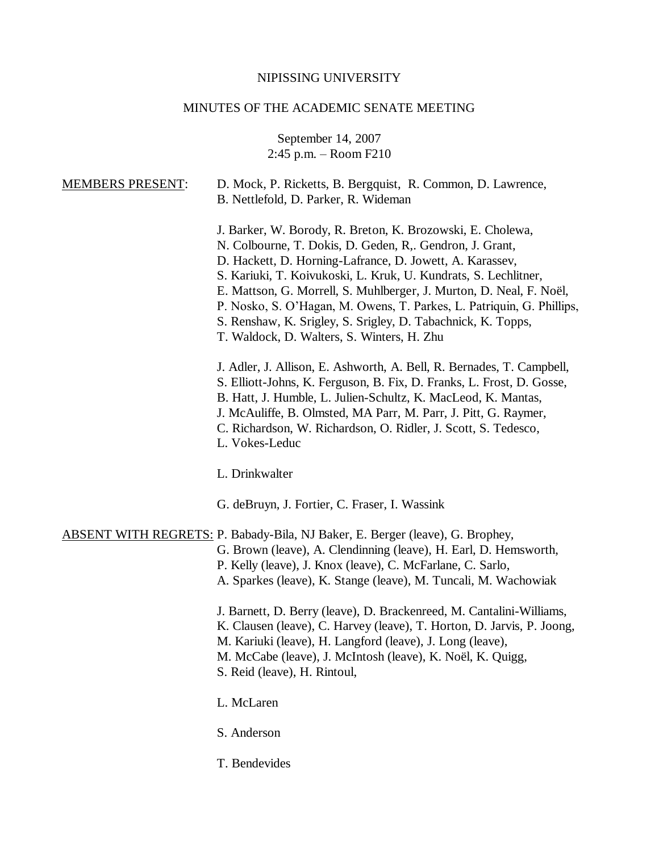# NIPISSING UNIVERSITY

# MINUTES OF THE ACADEMIC SENATE MEETING

September 14, 2007 2:45 p.m. – Room F210

| <b>MEMBERS PRESENT:</b> | D. Mock, P. Ricketts, B. Bergquist, R. Common, D. Lawrence,<br>B. Nettlefold, D. Parker, R. Wideman                                                                                                                                                                                                                                                                                                                                                                                                                 |
|-------------------------|---------------------------------------------------------------------------------------------------------------------------------------------------------------------------------------------------------------------------------------------------------------------------------------------------------------------------------------------------------------------------------------------------------------------------------------------------------------------------------------------------------------------|
|                         | J. Barker, W. Borody, R. Breton, K. Brozowski, E. Cholewa,<br>N. Colbourne, T. Dokis, D. Geden, R., Gendron, J. Grant,<br>D. Hackett, D. Horning-Lafrance, D. Jowett, A. Karassev,<br>S. Kariuki, T. Koivukoski, L. Kruk, U. Kundrats, S. Lechlitner,<br>E. Mattson, G. Morrell, S. Muhlberger, J. Murton, D. Neal, F. Noël,<br>P. Nosko, S. O'Hagan, M. Owens, T. Parkes, L. Patriquin, G. Phillips,<br>S. Renshaw, K. Srigley, S. Srigley, D. Tabachnick, K. Topps,<br>T. Waldock, D. Walters, S. Winters, H. Zhu |
|                         | J. Adler, J. Allison, E. Ashworth, A. Bell, R. Bernades, T. Campbell,<br>S. Elliott-Johns, K. Ferguson, B. Fix, D. Franks, L. Frost, D. Gosse,<br>B. Hatt, J. Humble, L. Julien-Schultz, K. MacLeod, K. Mantas,<br>J. McAuliffe, B. Olmsted, MA Parr, M. Parr, J. Pitt, G. Raymer,<br>C. Richardson, W. Richardson, O. Ridler, J. Scott, S. Tedesco,<br>L. Vokes-Leduc                                                                                                                                              |
|                         | L. Drinkwalter                                                                                                                                                                                                                                                                                                                                                                                                                                                                                                      |
|                         | G. deBruyn, J. Fortier, C. Fraser, I. Wassink                                                                                                                                                                                                                                                                                                                                                                                                                                                                       |
|                         | <b>ABSENT WITH REGRETS: P. Babady-Bila, NJ Baker, E. Berger (leave), G. Brophey,</b><br>G. Brown (leave), A. Clendinning (leave), H. Earl, D. Hemsworth,<br>P. Kelly (leave), J. Knox (leave), C. McFarlane, C. Sarlo,<br>A. Sparkes (leave), K. Stange (leave), M. Tuncali, M. Wachowiak                                                                                                                                                                                                                           |
|                         | J. Barnett, D. Berry (leave), D. Brackenreed, M. Cantalini-Williams,<br>K. Clausen (leave), C. Harvey (leave), T. Horton, D. Jarvis, P. Joong,<br>M. Kariuki (leave), H. Langford (leave), J. Long (leave),<br>M. McCabe (leave), J. McIntosh (leave), K. Noël, K. Quigg,<br>S. Reid (leave), H. Rintoul,                                                                                                                                                                                                           |
|                         | L. McLaren                                                                                                                                                                                                                                                                                                                                                                                                                                                                                                          |
|                         | S. Anderson                                                                                                                                                                                                                                                                                                                                                                                                                                                                                                         |

T. Bendevides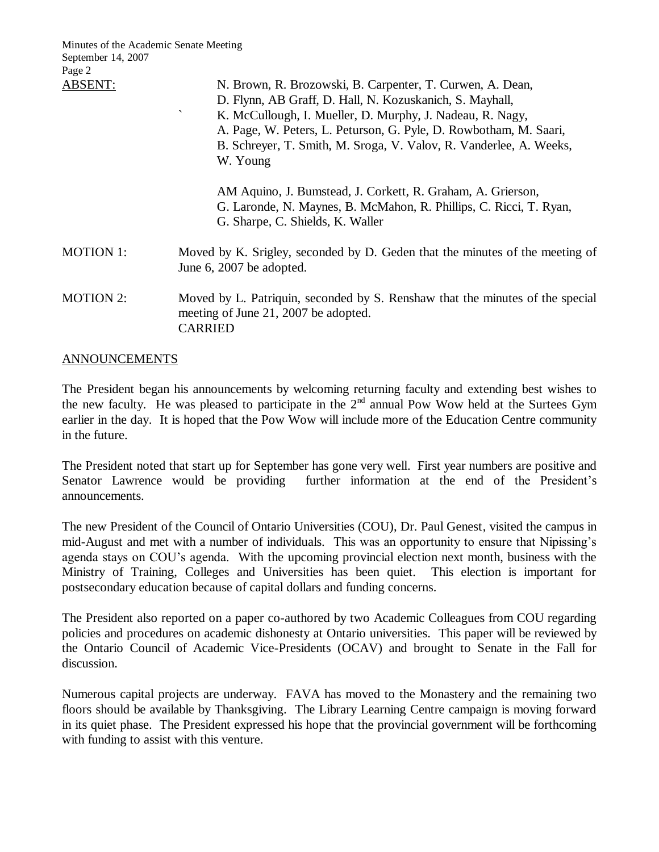| Minutes of the Academic Senate Meeting<br>September 14, 2007<br>Page 2 |                                                                                                                                                                                                                                                                                                                                                                       |
|------------------------------------------------------------------------|-----------------------------------------------------------------------------------------------------------------------------------------------------------------------------------------------------------------------------------------------------------------------------------------------------------------------------------------------------------------------|
| ABSENT:                                                                | N. Brown, R. Brozowski, B. Carpenter, T. Curwen, A. Dean,<br>D. Flynn, AB Graff, D. Hall, N. Kozuskanich, S. Mayhall,<br>$\overline{\phantom{a}}$<br>K. McCullough, I. Mueller, D. Murphy, J. Nadeau, R. Nagy,<br>A. Page, W. Peters, L. Peturson, G. Pyle, D. Rowbotham, M. Saari,<br>B. Schreyer, T. Smith, M. Sroga, V. Valov, R. Vanderlee, A. Weeks,<br>W. Young |
|                                                                        | AM Aquino, J. Bumstead, J. Corkett, R. Graham, A. Grierson,<br>G. Laronde, N. Maynes, B. McMahon, R. Phillips, C. Ricci, T. Ryan,<br>G. Sharpe, C. Shields, K. Waller                                                                                                                                                                                                 |
| <b>MOTION 1:</b>                                                       | Moved by K. Srigley, seconded by D. Geden that the minutes of the meeting of<br>June 6, 2007 be adopted.                                                                                                                                                                                                                                                              |
| <b>MOTION 2:</b>                                                       | Moved by L. Patriquin, seconded by S. Renshaw that the minutes of the special<br>meeting of June 21, 2007 be adopted.<br>CARRIED                                                                                                                                                                                                                                      |

### ANNOUNCEMENTS

The President began his announcements by welcoming returning faculty and extending best wishes to the new faculty. He was pleased to participate in the  $2<sup>nd</sup>$  annual Pow Wow held at the Surtees Gym earlier in the day. It is hoped that the Pow Wow will include more of the Education Centre community in the future.

The President noted that start up for September has gone very well. First year numbers are positive and Senator Lawrence would be providing further information at the end of the President's announcements.

The new President of the Council of Ontario Universities (COU), Dr. Paul Genest, visited the campus in mid-August and met with a number of individuals. This was an opportunity to ensure that Nipissing's agenda stays on COU's agenda. With the upcoming provincial election next month, business with the Ministry of Training, Colleges and Universities has been quiet. This election is important for postsecondary education because of capital dollars and funding concerns.

The President also reported on a paper co-authored by two Academic Colleagues from COU regarding policies and procedures on academic dishonesty at Ontario universities. This paper will be reviewed by the Ontario Council of Academic Vice-Presidents (OCAV) and brought to Senate in the Fall for discussion.

Numerous capital projects are underway. FAVA has moved to the Monastery and the remaining two floors should be available by Thanksgiving. The Library Learning Centre campaign is moving forward in its quiet phase. The President expressed his hope that the provincial government will be forthcoming with funding to assist with this venture.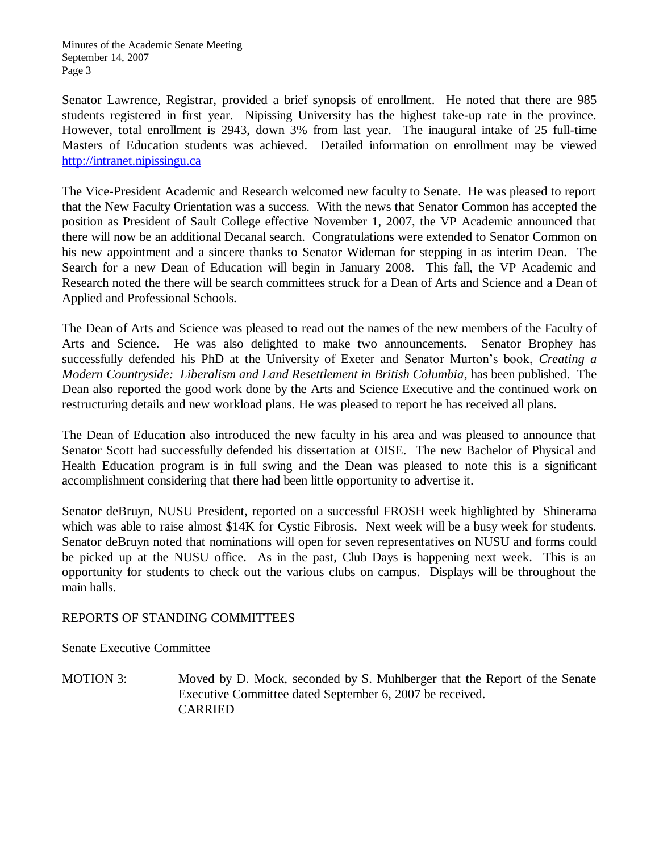Senator Lawrence, Registrar, provided a brief synopsis of enrollment. He noted that there are 985 students registered in first year. Nipissing University has the highest take-up rate in the province. However, total enrollment is 2943, down 3% from last year. The inaugural intake of 25 full-time Masters of Education students was achieved. Detailed information on enrollment may be viewed [http://intranet.nipissingu.ca](http://intranet.nipissingu.ca/)

The Vice-President Academic and Research welcomed new faculty to Senate. He was pleased to report that the New Faculty Orientation was a success. With the news that Senator Common has accepted the position as President of Sault College effective November 1, 2007, the VP Academic announced that there will now be an additional Decanal search. Congratulations were extended to Senator Common on his new appointment and a sincere thanks to Senator Wideman for stepping in as interim Dean. The Search for a new Dean of Education will begin in January 2008. This fall, the VP Academic and Research noted the there will be search committees struck for a Dean of Arts and Science and a Dean of Applied and Professional Schools.

The Dean of Arts and Science was pleased to read out the names of the new members of the Faculty of Arts and Science. He was also delighted to make two announcements. Senator Brophey has successfully defended his PhD at the University of Exeter and Senator Murton's book, *Creating a Modern Countryside: Liberalism and Land Resettlement in British Columbia,* has been published.The Dean also reported the good work done by the Arts and Science Executive and the continued work on restructuring details and new workload plans. He was pleased to report he has received all plans.

The Dean of Education also introduced the new faculty in his area and was pleased to announce that Senator Scott had successfully defended his dissertation at OISE. The new Bachelor of Physical and Health Education program is in full swing and the Dean was pleased to note this is a significant accomplishment considering that there had been little opportunity to advertise it.

Senator deBruyn, NUSU President, reported on a successful FROSH week highlighted by Shinerama which was able to raise almost \$14K for Cystic Fibrosis. Next week will be a busy week for students. Senator deBruyn noted that nominations will open for seven representatives on NUSU and forms could be picked up at the NUSU office. As in the past, Club Days is happening next week. This is an opportunity for students to check out the various clubs on campus. Displays will be throughout the main halls.

## REPORTS OF STANDING COMMITTEES

Senate Executive Committee

MOTION 3: Moved by D. Mock, seconded by S. Muhlberger that the Report of the Senate Executive Committee dated September 6, 2007 be received. CARRIED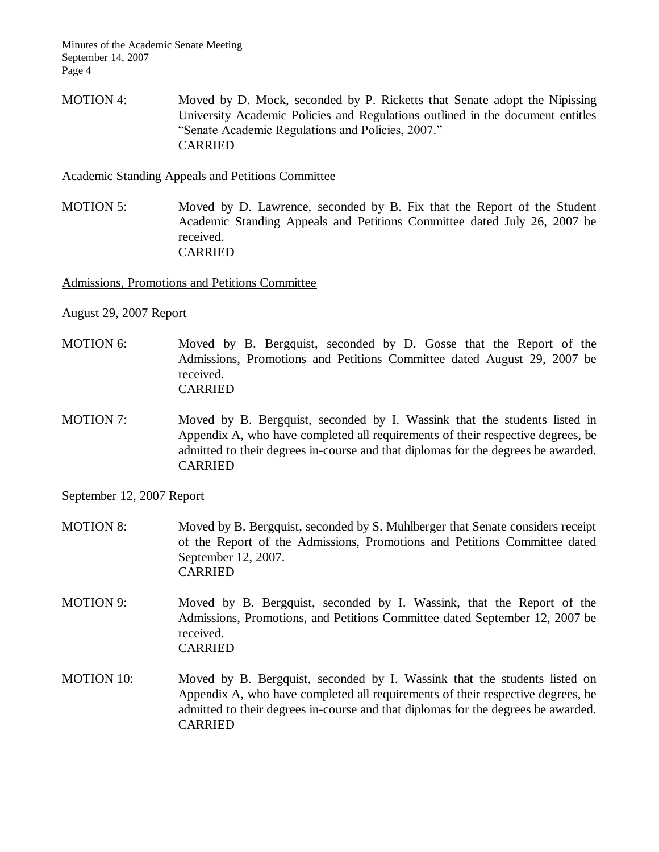MOTION 4: Moved by D. Mock, seconded by P. Ricketts that Senate adopt the Nipissing University Academic Policies and Regulations outlined in the document entitles "Senate Academic Regulations and Policies, 2007." CARRIED

Academic Standing Appeals and Petitions Committee

MOTION 5: Moved by D. Lawrence, seconded by B. Fix that the Report of the Student Academic Standing Appeals and Petitions Committee dated July 26, 2007 be received. CARRIED

Admissions, Promotions and Petitions Committee

#### August 29, 2007 Report

- MOTION 6: Moved by B. Bergquist, seconded by D. Gosse that the Report of the Admissions, Promotions and Petitions Committee dated August 29, 2007 be received. CARRIED
- MOTION 7: Moved by B. Bergquist, seconded by I. Wassink that the students listed in Appendix A, who have completed all requirements of their respective degrees, be admitted to their degrees in-course and that diplomas for the degrees be awarded. CARRIED

September 12, 2007 Report

- MOTION 8: Moved by B. Bergquist, seconded by S. Muhlberger that Senate considers receipt of the Report of the Admissions, Promotions and Petitions Committee dated September 12, 2007. CARRIED
- MOTION 9: Moved by B. Bergquist, seconded by I. Wassink, that the Report of the Admissions, Promotions, and Petitions Committee dated September 12, 2007 be received. CARRIED
- MOTION 10: Moved by B. Bergquist, seconded by I. Wassink that the students listed on Appendix A, who have completed all requirements of their respective degrees, be admitted to their degrees in-course and that diplomas for the degrees be awarded. CARRIED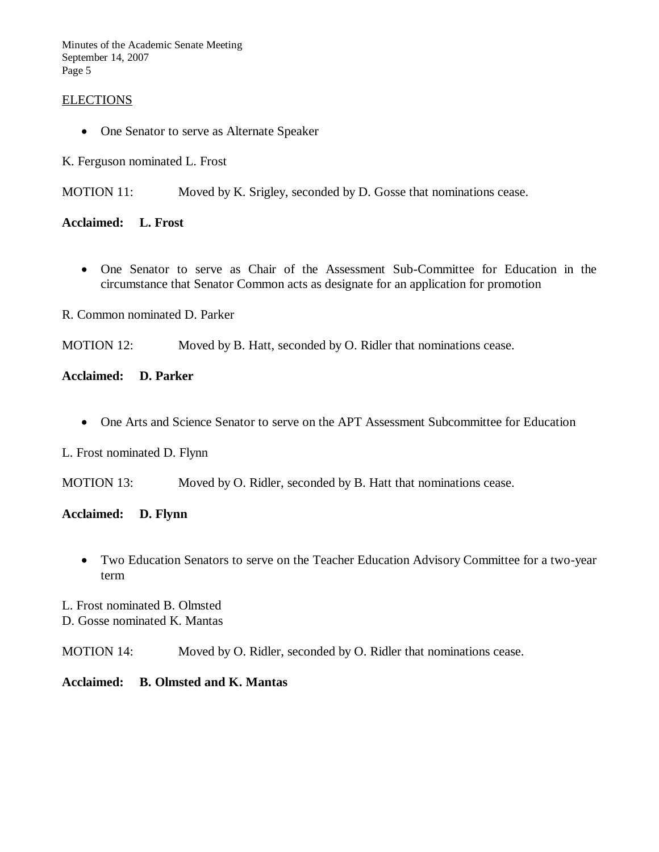Minutes of the Academic Senate Meeting September 14, 2007 Page 5

### ELECTIONS

• One Senator to serve as Alternate Speaker

K. Ferguson nominated L. Frost

MOTION 11: Moved by K. Srigley, seconded by D. Gosse that nominations cease.

**Acclaimed: L. Frost**

 One Senator to serve as Chair of the Assessment Sub-Committee for Education in the circumstance that Senator Common acts as designate for an application for promotion

R. Common nominated D. Parker

MOTION 12: Moved by B. Hatt, seconded by O. Ridler that nominations cease.

### **Acclaimed: D. Parker**

One Arts and Science Senator to serve on the APT Assessment Subcommittee for Education

L. Frost nominated D. Flynn

MOTION 13: Moved by O. Ridler, seconded by B. Hatt that nominations cease.

### **Acclaimed: D. Flynn**

- Two Education Senators to serve on the Teacher Education Advisory Committee for a two-year term
- L. Frost nominated B. Olmsted D. Gosse nominated K. Mantas

MOTION 14: Moved by O. Ridler, seconded by O. Ridler that nominations cease.

#### **Acclaimed: B. Olmsted and K. Mantas**